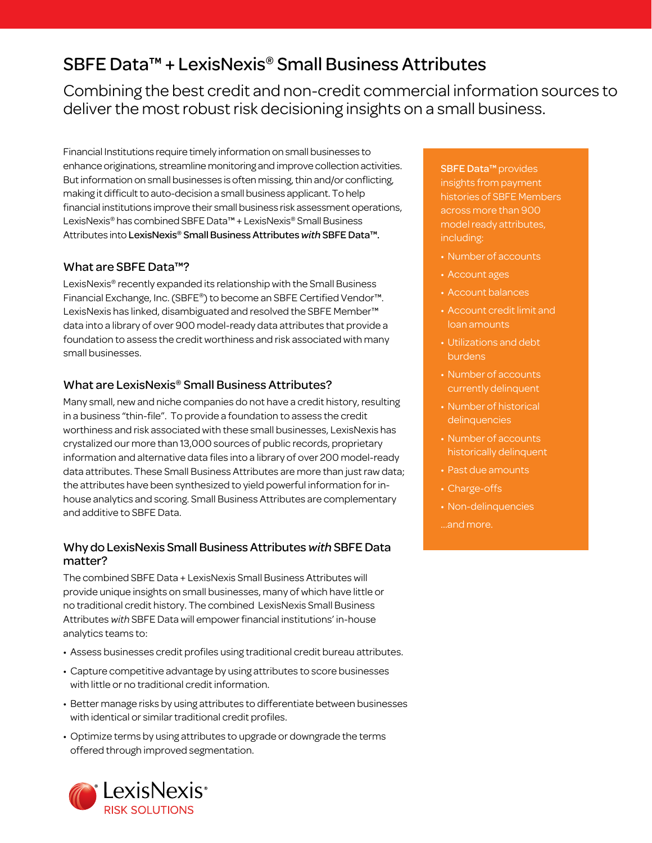# SBFE Data™ + LexisNexis® Small Business Attributes

Combining the best credit and non-credit commercial information sources to deliver the most robust risk decisioning insights on a small business.

Financial Institutions require timely information on small businesses to enhance originations, streamline monitoring and improve collection activities. But information on small businesses is often missing, thin and/or conflicting, making it difficult to auto-decision a small business applicant. To help financial institutions improve their small business risk assessment operations, LexisNexis® has combined SBFE Data™ + LexisNexis® Small Business Attributes into LexisNexis® Small Business Attributes *with* SBFE Data™.

# What are SBFE Data™?

LexisNexis® recently expanded its relationship with the Small Business Financial Exchange, Inc. (SBFE®) to become an SBFE Certified Vendor™. LexisNexis has linked, disambiguated and resolved the SBFE Member™ data into a library of over 900 model-ready data attributes that provide a foundation to assess the credit worthiness and risk associated with many small businesses.

# What are LexisNexis® Small Business Attributes?

Many small, new and niche companies do not have a credit history, resulting in a business "thin-file". To provide a foundation to assess the credit worthiness and risk associated with these small businesses, LexisNexis has crystalized our more than 13,000 sources of public records, proprietary information and alternative data files into a library of over 200 model-ready data attributes. These Small Business Attributes are more than just raw data; the attributes have been synthesized to yield powerful information for inhouse analytics and scoring. Small Business Attributes are complementary and additive to SBFE Data.

# Why do LexisNexis Small Business Attributes *with* SBFE Data matter?

The combined SBFE Data + LexisNexis Small Business Attributes will provide unique insights on small businesses, many of which have little or no traditional credit history. The combined LexisNexis Small Business Attributes *with* SBFE Data will empower financial institutions' in-house analytics teams to:

- Assess businesses credit profiles using traditional credit bureau attributes.
- Capture competitive advantage by using attributes to score businesses with little or no traditional credit information.
- Better manage risks by using attributes to differentiate between businesses with identical or similar traditional credit profiles.
- Optimize terms by using attributes to upgrade or downgrade the terms offered through improved segmentation.



SBFE Data™ provides insights from payment histories of SBFE Members across more than 900 model ready attributes, including:

- Number of accounts
- Account ages
- Account balances
- Account credit limit and loan amounts
- Utilizations and debt burdens
- Number of accounts currently delinquent
- Number of historical delinquencies
- Number of accounts historically delinquent
- Past due amounts
- Charge-offs
- Non-delinquencies
- …and more.